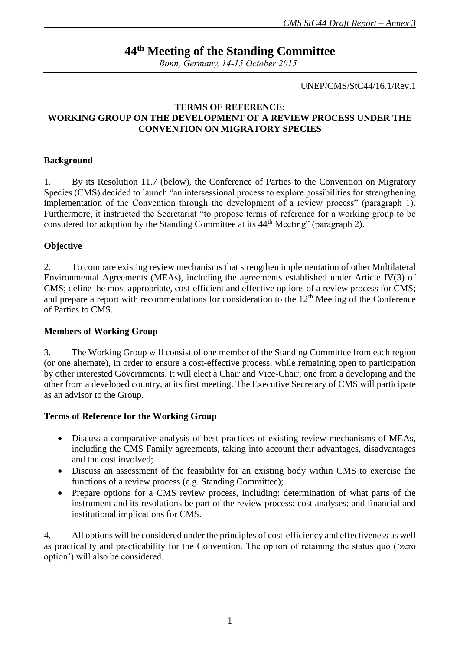# **44th Meeting of the Standing Committee**

*Bonn, Germany, 14-15 October 2015*

UNEP/CMS/StC44/16.1/Rev.1

## **TERMS OF REFERENCE: WORKING GROUP ON THE DEVELOPMENT OF A REVIEW PROCESS UNDER THE CONVENTION ON MIGRATORY SPECIES**

#### **Background**

1. By its Resolution 11.7 (below), the Conference of Parties to the Convention on Migratory Species (CMS) decided to launch "an intersessional process to explore possibilities for strengthening implementation of the Convention through the development of a review process" (paragraph 1). Furthermore, it instructed the Secretariat "to propose terms of reference for a working group to be considered for adoption by the Standing Committee at its 44th Meeting" (paragraph 2).

### **Objective**

2. To compare existing review mechanisms that strengthen implementation of other Multilateral Environmental Agreements (MEAs), including the agreements established under Article IV(3) of CMS; define the most appropriate, cost-efficient and effective options of a review process for CMS; and prepare a report with recommendations for consideration to the 12<sup>th</sup> Meeting of the Conference of Parties to CMS.

### **Members of Working Group**

3. The Working Group will consist of one member of the Standing Committee from each region (or one alternate), in order to ensure a cost-effective process, while remaining open to participation by other interested Governments. It will elect a Chair and Vice-Chair, one from a developing and the other from a developed country, at its first meeting. The Executive Secretary of CMS will participate as an advisor to the Group.

### **Terms of Reference for the Working Group**

- Discuss a comparative analysis of best practices of existing review mechanisms of MEAs, including the CMS Family agreements, taking into account their advantages, disadvantages and the cost involved;
- Discuss an assessment of the feasibility for an existing body within CMS to exercise the functions of a review process (e.g. Standing Committee);
- Prepare options for a CMS review process, including: determination of what parts of the instrument and its resolutions be part of the review process; cost analyses; and financial and institutional implications for CMS.

4. All options will be considered under the principles of cost-efficiency and effectiveness as well as practicality and practicability for the Convention. The option of retaining the status quo ('zero option') will also be considered.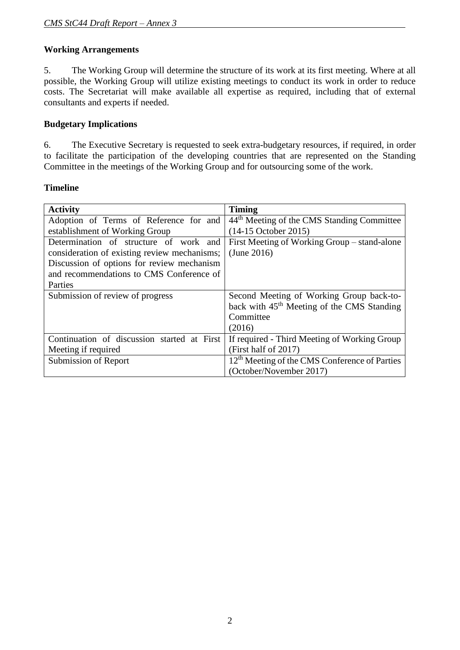## **Working Arrangements**

5. The Working Group will determine the structure of its work at its first meeting. Where at all possible, the Working Group will utilize existing meetings to conduct its work in order to reduce costs. The Secretariat will make available all expertise as required, including that of external consultants and experts if needed.

### **Budgetary Implications**

6. The Executive Secretary is requested to seek extra-budgetary resources, if required, in order to facilitate the participation of the developing countries that are represented on the Standing Committee in the meetings of the Working Group and for outsourcing some of the work.

### **Timeline**

| <b>Activity</b>                              | <b>Timing</b>                                             |
|----------------------------------------------|-----------------------------------------------------------|
| Adoption of Terms of Reference for and       | 44 <sup>th</sup> Meeting of the CMS Standing Committee    |
| establishment of Working Group               | (14-15 October 2015)                                      |
| Determination of structure of work and       | First Meeting of Working Group – stand-alone              |
| consideration of existing review mechanisms; | (June 2016)                                               |
| Discussion of options for review mechanism   |                                                           |
| and recommendations to CMS Conference of     |                                                           |
| Parties                                      |                                                           |
| Submission of review of progress             | Second Meeting of Working Group back-to-                  |
|                                              | back with 45 <sup>th</sup> Meeting of the CMS Standing    |
|                                              | Committee                                                 |
|                                              | (2016)                                                    |
| Continuation of discussion started at First  | If required - Third Meeting of Working Group              |
| Meeting if required                          | (First half of 2017)                                      |
| Submission of Report                         | 12 <sup>th</sup> Meeting of the CMS Conference of Parties |
|                                              | (October/November 2017)                                   |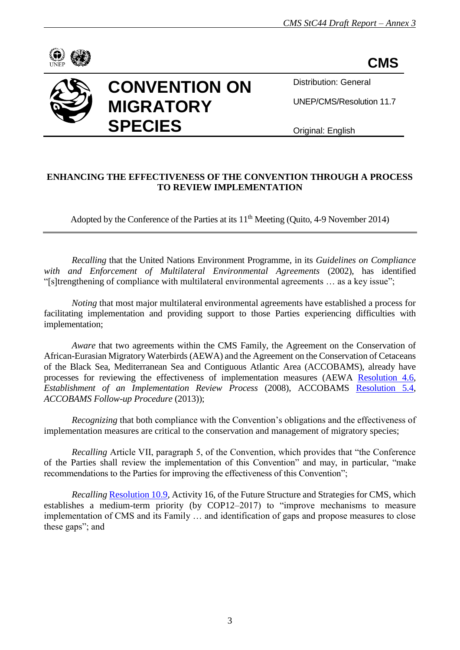

**CMS**



# **CONVENTION ON MIGRATORY SPECIES**

Distribution: General

UNEP/CMS/Resolution 11.7

Original: English

## **ENHANCING THE EFFECTIVENESS OF THE CONVENTION THROUGH A PROCESS TO REVIEW IMPLEMENTATION**

Adopted by the Conference of the Parties at its  $11<sup>th</sup>$  Meeting (Quito, 4-9 November 2014)

*Recalling* that the United Nations Environment Programme, in its *Guidelines on Compliance with and Enforcement of Multilateral Environmental Agreements* (2002), has identified "[s]trengthening of compliance with multilateral environmental agreements … as a key issue";

*Noting* that most major multilateral environmental agreements have established a process for facilitating implementation and providing support to those Parties experiencing difficulties with implementation;

*Aware* that two agreements within the CMS Family, the Agreement on the Conservation of African-Eurasian Migratory Waterbirds (AEWA) and the Agreement on the Conservation of Cetaceans of the Black Sea, Mediterranean Sea and Contiguous Atlantic Area (ACCOBAMS), already have processes for reviewing the effectiveness of implementation measures (AEWA [Resolution 4.6,](http://www.unep-aewa.org/sites/default/files/document/res4_6_establishment_irp_final_0.pdf) *Establishment of an Implementation Review Process* (2008), ACCOBAMS [Resolution 5.4,](http://accobams.org/index.php?option=com_content&view=article&id=1174%3Amop5-final-report-and-resolutions&catid=34&Itemid=65) *ACCOBAMS Follow-up Procedure* (2013));

*Recognizing* that both compliance with the Convention's obligations and the effectiveness of implementation measures are critical to the conservation and management of migratory species;

*Recalling* Article VII, paragraph 5, of the Convention, which provides that "the Conference of the Parties shall review the implementation of this Convention" and may, in particular, "make recommendations to the Parties for improving the effectiveness of this Convention";

*Recalling* [Resolution 10.9,](http://www.cms.int/sites/default/files/document/10_09_future_shape_e_0_0.pdf) Activity 16, of the Future Structure and Strategies for CMS, which establishes a medium-term priority (by COP12–2017) to "improve mechanisms to measure implementation of CMS and its Family … and identification of gaps and propose measures to close these gaps"; and